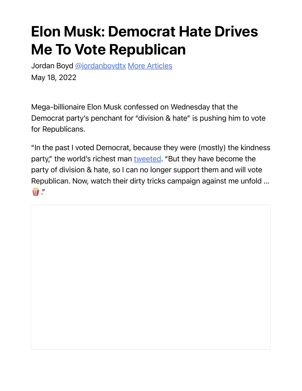## Elon Musk: Democrat Hate Drives Me To Vote Republican

Jordan Boyd @jordanboydtx More Articles May 18, 2022

Mega-billionaire Elon Musk confessed on Wednesday that the Democrat party's penchant for "division & hate" is pushing him to vote for Republicans.

"In the past I voted Democrat, because they were (mostly) the kindness party," the world's richest man tweeted. "But they have become the party of division & hate, so I can no longer support them and will vote Republican. Now, watch their dirty tricks campaign against me unfold …  $\widehat{\mathbf{W}}$  ."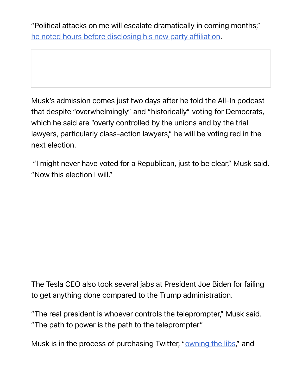"Political attacks on me will escalate dramatically in coming months," he noted hours before disclosing his new party affiliation.

Musk's admission comes just two days after he told the All-In podcast that despite "overwhelmingly" and "historically" voting for Democrats, which he said are "overly controlled by the unions and by the trial lawyers, particularly class-action lawyers," he will be voting red in the next election.

 "I might never have voted for a Republican, just to be clear," Musk said. "Now this election I will."

The Tesla CEO also took several jabs at President Joe Biden for failing to get anything done compared to the Trump administration.

"The real president is whoever controls the teleprompter," Musk said. "The path to power is the path to the teleprompter."

Musk is in the process of purchasing Twitter, "owning the libs," and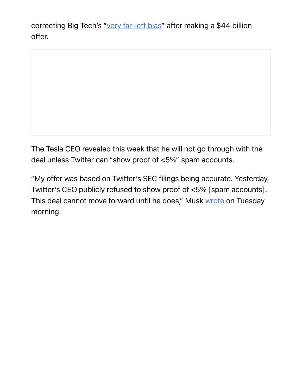correcting Big Tech's "very far-left bias" after making a \$44 billion offer.

The Tesla CEO revealed this week that he will not go through with the deal unless Twitter can "show proof of <5%" spam accounts.

"My offer was based on Twitter's SEC filings being accurate. Yesterday, Twitter's CEO publicly refused to show proof of <5% [spam accounts]. This deal cannot move forward until he does," Musk wrote on Tuesday morning.